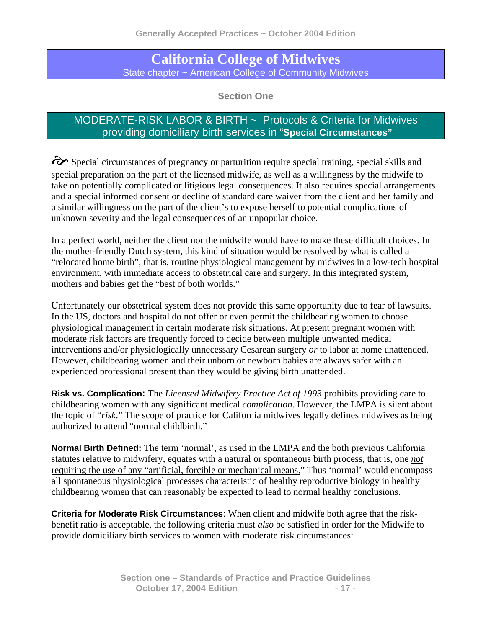# **California College of Midwives**  State chapter ~ American College of Community Midwives

**Section One** 

# MODERATE-RISK LABOR & BIRTH ~ Protocols & Criteria for Midwives providing domiciliary birth services in "**Special Circumstances"**

 $\hat{\mathcal{C}}$  Special circumstances of pregnancy or parturition require special training, special skills and special preparation on the part of the licensed midwife, as well as a willingness by the midwife to take on potentially complicated or litigious legal consequences. It also requires special arrangements and a special informed consent or decline of standard care waiver from the client and her family and a similar willingness on the part of the client's to expose herself to potential complications of unknown severity and the legal consequences of an unpopular choice.

In a perfect world, neither the client nor the midwife would have to make these difficult choices. In the mother-friendly Dutch system, this kind of situation would be resolved by what is called a "relocated home birth", that is, routine physiological management by midwives in a low-tech hospital environment, with immediate access to obstetrical care and surgery. In this integrated system, mothers and babies get the "best of both worlds."

Unfortunately our obstetrical system does not provide this same opportunity due to fear of lawsuits. In the US, doctors and hospital do not offer or even permit the childbearing women to choose physiological management in certain moderate risk situations. At present pregnant women with moderate risk factors are frequently forced to decide between multiple unwanted medical interventions and/or physiologically unnecessary Cesarean surgery *or* to labor at home unattended. However, childbearing women and their unborn or newborn babies are always safer with an experienced professional present than they would be giving birth unattended.

**Risk vs. Complication:** The *Licensed Midwifery Practice Act of 1993* prohibits providing care to childbearing women with any significant medical *complication*. However, the LMPA is silent about the topic of "*risk*." The scope of practice for California midwives legally defines midwives as being authorized to attend "normal childbirth."

**Normal Birth Defined:** The term 'normal', as used in the LMPA and the both previous California statutes relative to midwifery, equates with a natural or spontaneous birth process, that is, one *not*  requiring the use of any "artificial, forcible or mechanical means." Thus 'normal' would encompass all spontaneous physiological processes characteristic of healthy reproductive biology in healthy childbearing women that can reasonably be expected to lead to normal healthy conclusions.

**Criteria for Moderate Risk Circumstances**: When client and midwife both agree that the riskbenefit ratio is acceptable, the following criteria must *also* be satisfied in order for the Midwife to provide domiciliary birth services to women with moderate risk circumstances: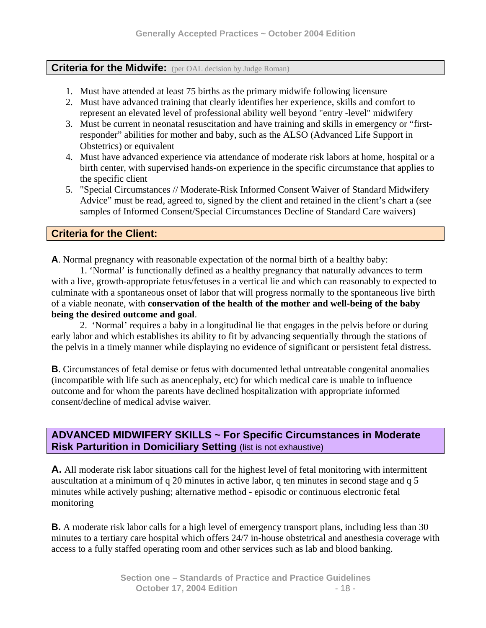#### **Criteria for the Midwife:** (per OAL decision by Judge Roman)

- 1. Must have attended at least 75 births as the primary midwife following licensure
- 2. Must have advanced training that clearly identifies her experience, skills and comfort to represent an elevated level of professional ability well beyond "entry -level" midwifery
- 3. Must be current in neonatal resuscitation and have training and skills in emergency or "firstresponder" abilities for mother and baby, such as the ALSO (Advanced Life Support in Obstetrics) or equivalent
- 4. Must have advanced experience via attendance of moderate risk labors at home, hospital or a birth center, with supervised hands-on experience in the specific circumstance that applies to the specific client
- 5. "Special Circumstances // Moderate-Risk Informed Consent Waiver of Standard Midwifery Advice" must be read, agreed to, signed by the client and retained in the client's chart a (see samples of Informed Consent/Special Circumstances Decline of Standard Care waivers)

## **Criteria for the Client:**

**A**. Normal pregnancy with reasonable expectation of the normal birth of a healthy baby:

1. 'Normal' is functionally defined as a healthy pregnancy that naturally advances to term with a live, growth-appropriate fetus/fetuses in a vertical lie and which can reasonably to expected to culminate with a spontaneous onset of labor that will progress normally to the spontaneous live birth of a viable neonate, with **conservation of the health of the mother and well-being of the baby being the desired outcome and goal**.

2. 'Normal' requires a baby in a longitudinal lie that engages in the pelvis before or during early labor and which establishes its ability to fit by advancing sequentially through the stations of the pelvis in a timely manner while displaying no evidence of significant or persistent fetal distress.

**B**. Circumstances of fetal demise or fetus with documented lethal untreatable congenital anomalies (incompatible with life such as anencephaly, etc) for which medical care is unable to influence outcome and for whom the parents have declined hospitalization with appropriate informed consent/decline of medical advise waiver.

## **ADVANCED MIDWIFERY SKILLS ~ For Specific Circumstances in Moderate Risk Parturition in Domiciliary Setting (list is not exhaustive)**

**A.** All moderate risk labor situations call for the highest level of fetal monitoring with intermittent auscultation at a minimum of q 20 minutes in active labor, q ten minutes in second stage and q 5 minutes while actively pushing; alternative method - episodic or continuous electronic fetal monitoring

**B.** A moderate risk labor calls for a high level of emergency transport plans, including less than 30 minutes to a tertiary care hospital which offers 24/7 in-house obstetrical and anesthesia coverage with access to a fully staffed operating room and other services such as lab and blood banking.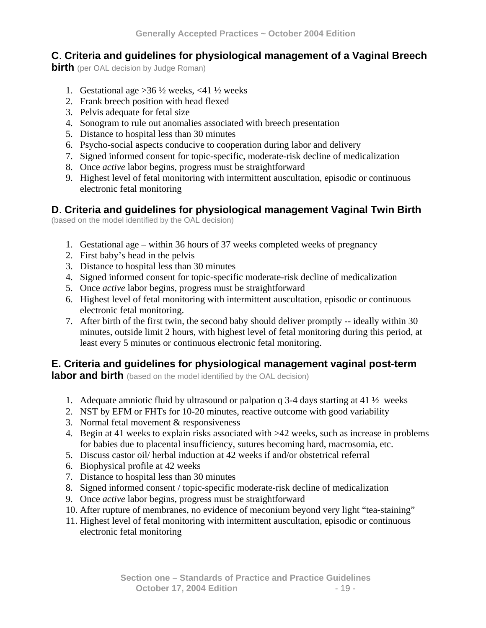# **C**. **Criteria and guidelines for physiological management of a Vaginal Breech**

**birth** (per OAL decision by Judge Roman)

- 1. Gestational age  $>36\frac{1}{2}$  weeks, <41  $\frac{1}{2}$  weeks
- 2. Frank breech position with head flexed
- 3. Pelvis adequate for fetal size
- 4. Sonogram to rule out anomalies associated with breech presentation
- 5. Distance to hospital less than 30 minutes
- 6. Psycho-social aspects conducive to cooperation during labor and delivery
- 7. Signed informed consent for topic-specific, moderate-risk decline of medicalization
- 8. Once *active* labor begins, progress must be straightforward
- 9. Highest level of fetal monitoring with intermittent auscultation, episodic or continuous electronic fetal monitoring

## **D**. **Criteria and guidelines for physiological management Vaginal Twin Birth**

(based on the model identified by the OAL decision)

- 1. Gestational age within 36 hours of 37 weeks completed weeks of pregnancy
- 2. First baby's head in the pelvis
- 3. Distance to hospital less than 30 minutes
- 4. Signed informed consent for topic-specific moderate-risk decline of medicalization
- 5. Once *active* labor begins, progress must be straightforward
- 6. Highest level of fetal monitoring with intermittent auscultation, episodic or continuous electronic fetal monitoring.
- 7. After birth of the first twin, the second baby should deliver promptly -- ideally within 30 minutes, outside limit 2 hours, with highest level of fetal monitoring during this period, at least every 5 minutes or continuous electronic fetal monitoring.

# **E. Criteria and guidelines for physiological management vaginal post-term**

**labor and birth** (based on the model identified by the OAL decision)

- 1. Adequate amniotic fluid by ultrasound or palpation q 3-4 days starting at 41  $\frac{1}{2}$  weeks
- 2. NST by EFM or FHTs for 10-20 minutes, reactive outcome with good variability
- 3. Normal fetal movement & responsiveness
- 4. Begin at 41 weeks to explain risks associated with >42 weeks, such as increase in problems for babies due to placental insufficiency, sutures becoming hard, macrosomia, etc.
- 5. Discuss castor oil/ herbal induction at 42 weeks if and/or obstetrical referral
- 6. Biophysical profile at 42 weeks
- 7. Distance to hospital less than 30 minutes
- 8. Signed informed consent / topic-specific moderate-risk decline of medicalization
- 9. Once *active* labor begins, progress must be straightforward
- 10. After rupture of membranes, no evidence of meconium beyond very light "tea-staining"
- 11. Highest level of fetal monitoring with intermittent auscultation, episodic or continuous electronic fetal monitoring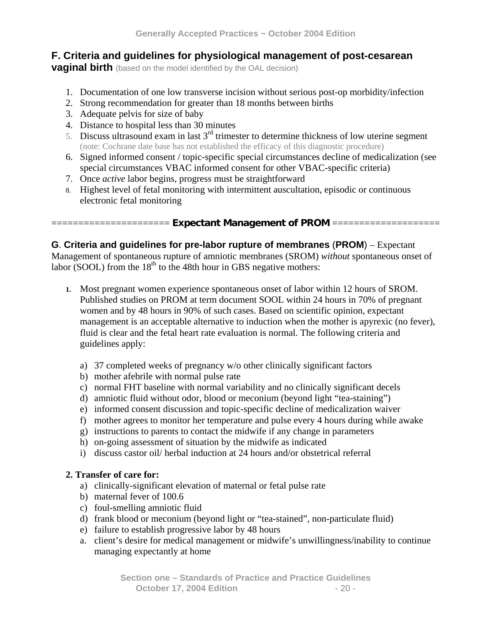# **F. Criteria and guidelines for physiological management of post-cesarean**

**vaginal birth** (based on the model identified by the OAL decision)

- 1. Documentation of one low transverse incision without serious post-op morbidity/infection
- 2. Strong recommendation for greater than 18 months between births
- 3. Adequate pelvis for size of baby
- 4. Distance to hospital less than 30 minutes
- 5. Discuss ultrasound exam in last  $3<sup>rd</sup>$  trimester to determine thickness of low uterine segment (note: Cochrane date base has not established the efficacy of this diagnostic procedure)
- 6. Signed informed consent / topic-specific special circumstances decline of medicalization (see special circumstances VBAC informed consent for other VBAC-specific criteria)
- 7. Once *active* labor begins, progress must be straightforward
- 8. Highest level of fetal monitoring with intermittent auscultation, episodic or continuous electronic fetal monitoring

#### ====================== **Expectant Management of PROM** ====================

## **G**. **Criteria and guidelines for pre-labor rupture of membranes** (**PROM**) – Expectant

Management of spontaneous rupture of amniotic membranes (SROM) *without* spontaneous onset of labor (SOOL) from the  $18<sup>th</sup>$  to the 48th hour in GBS negative mothers:

- **1.** Most pregnant women experience spontaneous onset of labor within 12 hours of SROM. Published studies on PROM at term document SOOL within 24 hours in 70% of pregnant women and by 48 hours in 90% of such cases. Based on scientific opinion, expectant management is an acceptable alternative to induction when the mother is apyrexic (no fever), fluid is clear and the fetal heart rate evaluation is normal. The following criteria and guidelines apply:
	- a) 37 completed weeks of pregnancy w/o other clinically significant factors
	- b) mother afebrile with normal pulse rate
	- c) normal FHT baseline with normal variability and no clinically significant decels
	- d) amniotic fluid without odor, blood or meconium (beyond light "tea-staining")
	- e) informed consent discussion and topic-specific decline of medicalization waiver
	- f) mother agrees to monitor her temperature and pulse every 4 hours during while awake
	- g) instructions to parents to contact the midwife if any change in parameters
	- h) on-going assessment of situation by the midwife as indicated
	- i) discuss castor oil/ herbal induction at 24 hours and/or obstetrical referral

#### **2. Transfer of care for:**

- a) clinically-significant elevation of maternal or fetal pulse rate
- b) maternal fever of 100.6
- c) foul-smelling amniotic fluid
- d) frank blood or meconium (beyond light or "tea-stained", non-particulate fluid)
- e) failure to establish progressive labor by 48 hours
- a. client's desire for medical management or midwife's unwillingness/inability to continue managing expectantly at home

**Section one – Standards of Practice and Practice Guidelines October 17, 2004 Edition** - 20 -